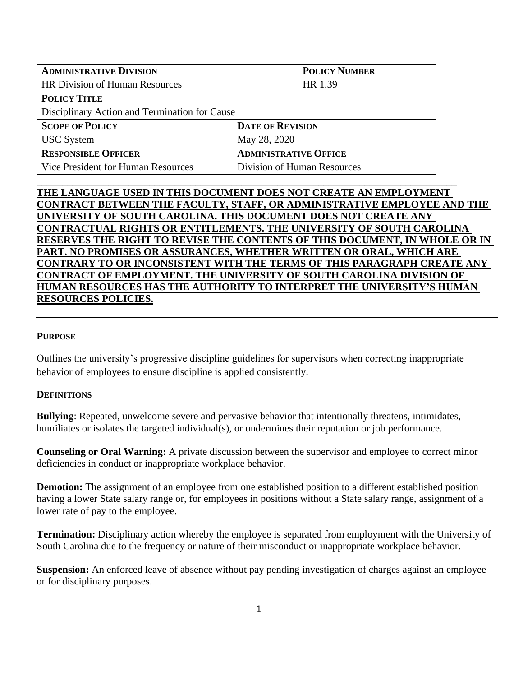| <b>ADMINISTRATIVE DIVISION</b>                |                              | <b>POLICY NUMBER</b>    |  |  |
|-----------------------------------------------|------------------------------|-------------------------|--|--|
| <b>HR Division of Human Resources</b>         |                              | HR 1.39                 |  |  |
| <b>POLICY TITLE</b>                           |                              |                         |  |  |
| Disciplinary Action and Termination for Cause |                              |                         |  |  |
| <b>SCOPE OF POLICY</b>                        |                              | <b>DATE OF REVISION</b> |  |  |
| <b>USC</b> System                             | May 28, 2020                 |                         |  |  |
| <b>RESPONSIBLE OFFICER</b>                    | <b>ADMINISTRATIVE OFFICE</b> |                         |  |  |
| Vice President for Human Resources            | Division of Human Resources  |                         |  |  |
|                                               |                              |                         |  |  |

## **THE LANGUAGE USED IN THIS DOCUMENT DOES NOT CREATE AN EMPLOYMENT CONTRACT BETWEEN THE FACULTY, STAFF, OR ADMINISTRATIVE EMPLOYEE AND THE UNIVERSITY OF SOUTH CAROLINA. THIS DOCUMENT DOES NOT CREATE ANY CONTRACTUAL RIGHTS OR ENTITLEMENTS. THE UNIVERSITY OF SOUTH CAROLINA RESERVES THE RIGHT TO REVISE THE CONTENTS OF THIS DOCUMENT, IN WHOLE OR IN PART. NO PROMISES OR ASSURANCES, WHETHER WRITTEN OR ORAL, WHICH ARE CONTRARY TO OR INCONSISTENT WITH THE TERMS OF THIS PARAGRAPH CREATE ANY CONTRACT OF EMPLOYMENT. THE UNIVERSITY OF SOUTH CAROLINA DIVISION OF HUMAN RESOURCES HAS THE AUTHORITY TO INTERPRET THE UNIVERSITY'S HUMAN RESOURCES POLICIES.**

#### **PURPOSE**

Outlines the university's progressive discipline guidelines for supervisors when correcting inappropriate behavior of employees to ensure discipline is applied consistently.

### **DEFINITIONS**

**Bullying**: Repeated, unwelcome severe and pervasive behavior that intentionally threatens, intimidates, humiliates or isolates the targeted individual(s), or undermines their reputation or job performance.

**Counseling or Oral Warning:** A private discussion between the supervisor and employee to correct minor deficiencies in conduct or inappropriate workplace behavior.

**Demotion:** The assignment of an employee from one established position to a different established position having a lower State salary range or, for employees in positions without a State salary range, assignment of a lower rate of pay to the employee.

**Termination:** Disciplinary action whereby the employee is separated from employment with the University of South Carolina due to the frequency or nature of their misconduct or inappropriate workplace behavior.

**Suspension:** An enforced leave of absence without pay pending investigation of charges against an employee or for disciplinary purposes.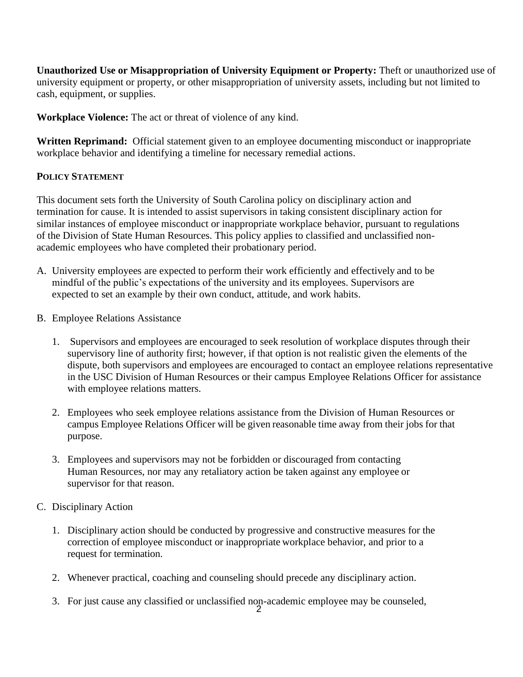**Unauthorized Use or Misappropriation of University Equipment or Property:** Theft or unauthorized use of university equipment or property, or other misappropriation of university assets, including but not limited to cash, equipment, or supplies.

**Workplace Violence:** The act or threat of violence of any kind.

**Written Reprimand:** Official statement given to an employee documenting misconduct or inappropriate workplace behavior and identifying a timeline for necessary remedial actions.

## **POLICY STATEMENT**

This document sets forth the University of South Carolina policy on disciplinary action and termination for cause. It is intended to assist supervisors in taking consistent disciplinary action for similar instances of employee misconduct or inappropriate workplace behavior, pursuant to regulations of the Division of State Human Resources. This policy applies to classified and unclassified nonacademic employees who have completed their probationary period.

- A. University employees are expected to perform their work efficiently and effectively and to be mindful of the public's expectations of the university and its employees. Supervisors are expected to set an example by their own conduct, attitude, and work habits.
- B. Employee Relations Assistance
	- 1. Supervisors and employees are encouraged to seek resolution of workplace disputes through their supervisory line of authority first; however, if that option is not realistic given the elements of the dispute, both supervisors and employees are encouraged to contact an employee relations representative in the USC Division of Human Resources or their campus Employee Relations Officer for assistance with employee relations matters.
	- 2. Employees who seek employee relations assistance from the Division of Human Resources or campus Employee Relations Officer will be given reasonable time away from their jobs for that purpose.
	- 3. Employees and supervisors may not be forbidden or discouraged from contacting Human Resources, nor may any retaliatory action be taken against any employee or supervisor for that reason.
- C. Disciplinary Action
	- 1. Disciplinary action should be conducted by progressive and constructive measures for the correction of employee misconduct or inappropriate workplace behavior, and prior to a request for termination.
	- 2. Whenever practical, coaching and counseling should precede any disciplinary action.
	- 3. For just cause any classified or unclassified non-academic employee may be counseled,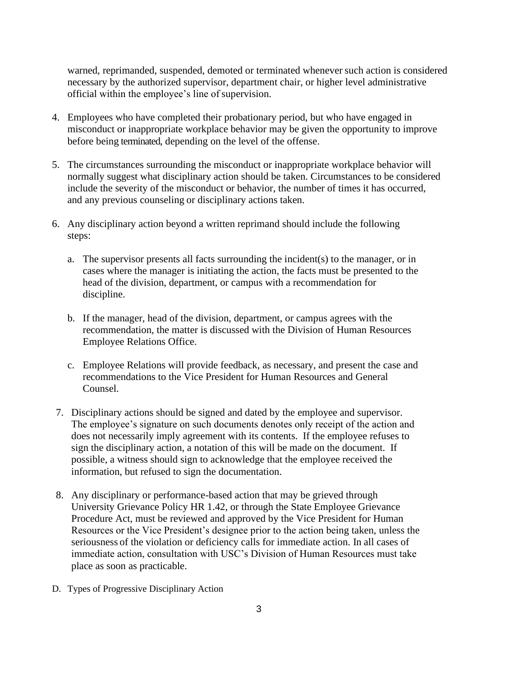warned, reprimanded, suspended, demoted or terminated whenever such action is considered necessary by the authorized supervisor, department chair, or higher level administrative official within the employee's line of supervision.

- 4. Employees who have completed their probationary period, but who have engaged in misconduct or inappropriate workplace behavior may be given the opportunity to improve before being terminated, depending on the level of the offense.
- 5. The circumstances surrounding the misconduct or inappropriate workplace behavior will normally suggest what disciplinary action should be taken. Circumstances to be considered include the severity of the misconduct or behavior, the number of times it has occurred, and any previous counseling or disciplinary actions taken.
- 6. Any disciplinary action beyond a written reprimand should include the following steps:
	- a. The supervisor presents all facts surrounding the incident(s) to the manager, or in cases where the manager is initiating the action, the facts must be presented to the head of the division, department, or campus with a recommendation for discipline.
	- b. If the manager, head of the division, department, or campus agrees with the recommendation, the matter is discussed with the Division of Human Resources Employee Relations Office.
	- c. Employee Relations will provide feedback, as necessary, and present the case and recommendations to the Vice President for Human Resources and General Counsel.
- 7. Disciplinary actions should be signed and dated by the employee and supervisor. The employee's signature on such documents denotes only receipt of the action and does not necessarily imply agreement with its contents. If the employee refuses to sign the disciplinary action, a notation of this will be made on the document. If possible, a witness should sign to acknowledge that the employee received the information, but refused to sign the documentation.
- 8. Any disciplinary or performance-based action that may be grieved through University Grievance Policy HR 1.42, or through the State Employee Grievance Procedure Act, must be reviewed and approved by the Vice President for Human Resources or the Vice President's designee prior to the action being taken, unless the seriousness of the violation or deficiency calls for immediate action. In all cases of immediate action, consultation with USC's Division of Human Resources must take place as soon as practicable.
- D. Types of Progressive Disciplinary Action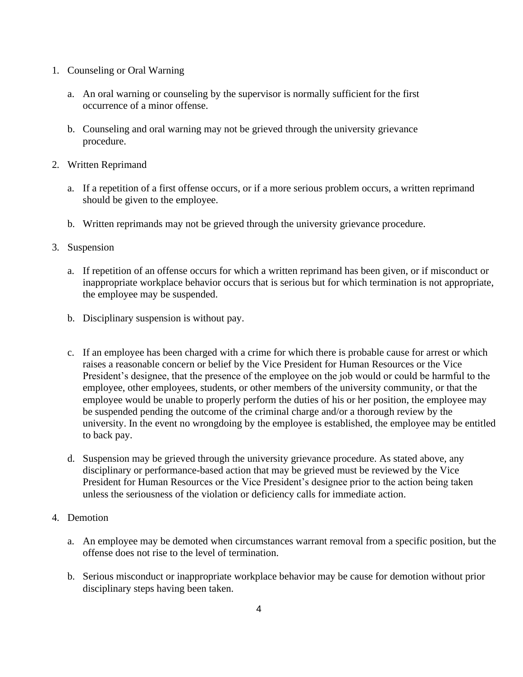- 1. Counseling or Oral Warning
	- a. An oral warning or counseling by the supervisor is normally sufficient for the first occurrence of a minor offense.
	- b. Counseling and oral warning may not be grieved through the university grievance procedure.
- 2. Written Reprimand
	- a. If a repetition of a first offense occurs, or if a more serious problem occurs, a written reprimand should be given to the employee.
	- b. Written reprimands may not be grieved through the university grievance procedure.
- 3. Suspension
	- a. If repetition of an offense occurs for which a written reprimand has been given, or if misconduct or inappropriate workplace behavior occurs that is serious but for which termination is not appropriate, the employee may be suspended.
	- b. Disciplinary suspension is without pay.
	- c. If an employee has been charged with a crime for which there is probable cause for arrest or which raises a reasonable concern or belief by the Vice President for Human Resources or the Vice President's designee, that the presence of the employee on the job would or could be harmful to the employee, other employees, students, or other members of the university community, or that the employee would be unable to properly perform the duties of his or her position, the employee may be suspended pending the outcome of the criminal charge and/or a thorough review by the university. In the event no wrongdoing by the employee is established, the employee may be entitled to back pay.
	- d. Suspension may be grieved through the university grievance procedure. As stated above, any disciplinary or performance-based action that may be grieved must be reviewed by the Vice President for Human Resources or the Vice President's designee prior to the action being taken unless the seriousness of the violation or deficiency calls for immediate action.
- 4. Demotion
	- a. An employee may be demoted when circumstances warrant removal from a specific position, but the offense does not rise to the level of termination.
	- b. Serious misconduct or inappropriate workplace behavior may be cause for demotion without prior disciplinary steps having been taken.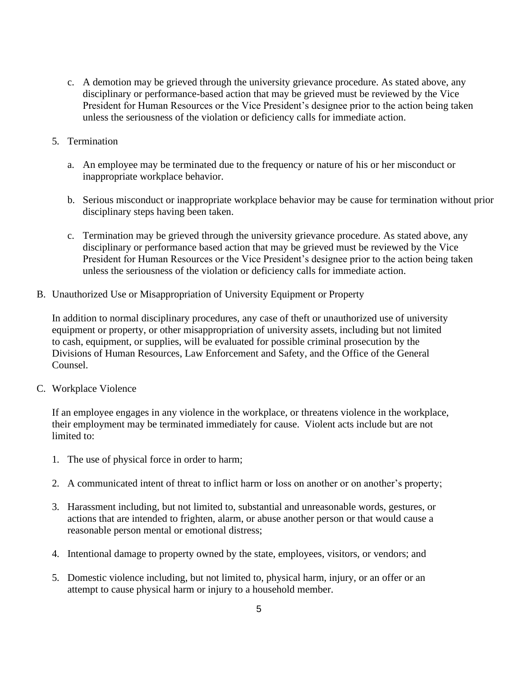- c. A demotion may be grieved through the university grievance procedure. As stated above, any disciplinary or performance-based action that may be grieved must be reviewed by the Vice President for Human Resources or the Vice President's designee prior to the action being taken unless the seriousness of the violation or deficiency calls for immediate action.
- 5. Termination
	- a. An employee may be terminated due to the frequency or nature of his or her misconduct or inappropriate workplace behavior.
	- b. Serious misconduct or inappropriate workplace behavior may be cause for termination without prior disciplinary steps having been taken.
	- c. Termination may be grieved through the university grievance procedure. As stated above, any disciplinary or performance based action that may be grieved must be reviewed by the Vice President for Human Resources or the Vice President's designee prior to the action being taken unless the seriousness of the violation or deficiency calls for immediate action.
- B. Unauthorized Use or Misappropriation of University Equipment or Property

In addition to normal disciplinary procedures, any case of theft or unauthorized use of university equipment or property, or other misappropriation of university assets, including but not limited to cash, equipment, or supplies, will be evaluated for possible criminal prosecution by the Divisions of Human Resources, Law Enforcement and Safety, and the Office of the General Counsel.

C. Workplace Violence

If an employee engages in any violence in the workplace, or threatens violence in the workplace, their employment may be terminated immediately for cause. Violent acts include but are not limited to:

- 1. The use of physical force in order to harm;
- 2. A communicated intent of threat to inflict harm or loss on another or on another's property;
- 3. Harassment including, but not limited to, substantial and unreasonable words, gestures, or actions that are intended to frighten, alarm, or abuse another person or that would cause a reasonable person mental or emotional distress;
- 4. Intentional damage to property owned by the state, employees, visitors, or vendors; and
- 5. Domestic violence including, but not limited to, physical harm, injury, or an offer or an attempt to cause physical harm or injury to a household member.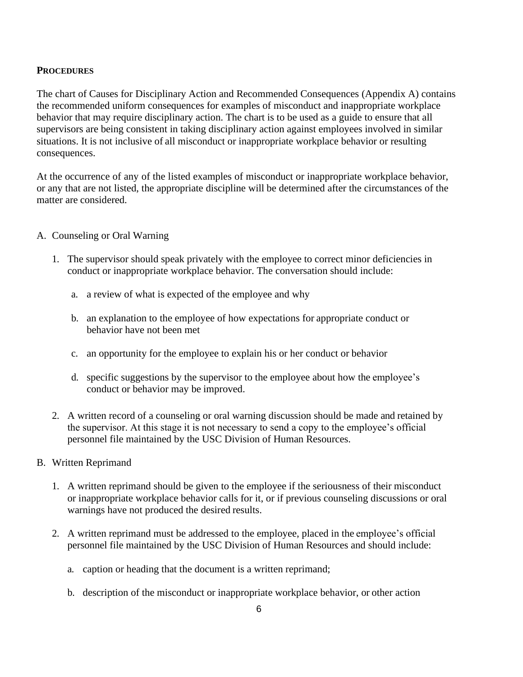### **PROCEDURES**

The chart of Causes for Disciplinary Action and Recommended Consequences (Appendix A) contains the recommended uniform consequences for examples of misconduct and inappropriate workplace behavior that may require disciplinary action. The chart is to be used as a guide to ensure that all supervisors are being consistent in taking disciplinary action against employees involved in similar situations. It is not inclusive of all misconduct or inappropriate workplace behavior or resulting consequences.

At the occurrence of any of the listed examples of misconduct or inappropriate workplace behavior, or any that are not listed, the appropriate discipline will be determined after the circumstances of the matter are considered.

#### A. Counseling or Oral Warning

- 1. The supervisor should speak privately with the employee to correct minor deficiencies in conduct or inappropriate workplace behavior. The conversation should include:
	- a. a review of what is expected of the employee and why
	- b. an explanation to the employee of how expectations for appropriate conduct or behavior have not been met
	- c. an opportunity for the employee to explain his or her conduct or behavior
	- d. specific suggestions by the supervisor to the employee about how the employee's conduct or behavior may be improved.
- 2. A written record of a counseling or oral warning discussion should be made and retained by the supervisor. At this stage it is not necessary to send a copy to the employee's official personnel file maintained by the USC Division of Human Resources.

### B. Written Reprimand

- 1. A written reprimand should be given to the employee if the seriousness of their misconduct or inappropriate workplace behavior calls for it, or if previous counseling discussions or oral warnings have not produced the desired results.
- 2. A written reprimand must be addressed to the employee, placed in the employee's official personnel file maintained by the USC Division of Human Resources and should include:
	- a. caption or heading that the document is a written reprimand;
	- b. description of the misconduct or inappropriate workplace behavior, or other action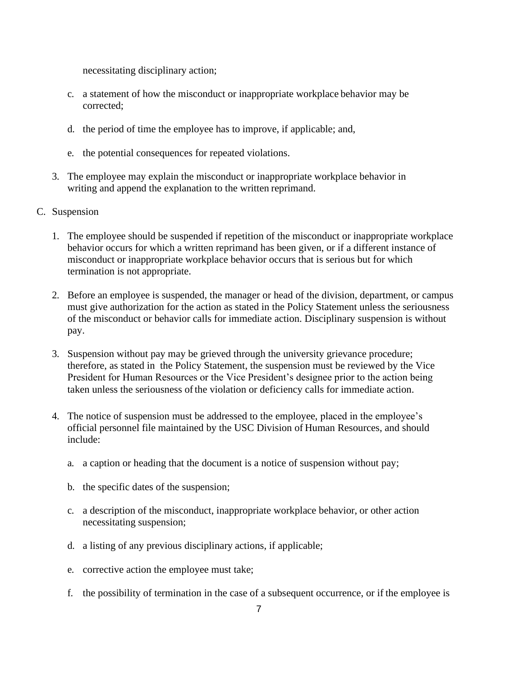necessitating disciplinary action;

- c. a statement of how the misconduct or inappropriate workplace behavior may be corrected;
- d. the period of time the employee has to improve, if applicable; and,
- e. the potential consequences for repeated violations.
- 3. The employee may explain the misconduct or inappropriate workplace behavior in writing and append the explanation to the written reprimand.
- C. Suspension
	- 1. The employee should be suspended if repetition of the misconduct or inappropriate workplace behavior occurs for which a written reprimand has been given, or if a different instance of misconduct or inappropriate workplace behavior occurs that is serious but for which termination is not appropriate.
	- 2. Before an employee is suspended, the manager or head of the division, department, or campus must give authorization for the action as stated in the Policy Statement unless the seriousness of the misconduct or behavior calls for immediate action. Disciplinary suspension is without pay.
	- 3. Suspension without pay may be grieved through the university grievance procedure; therefore, as stated in the Policy Statement, the suspension must be reviewed by the Vice President for Human Resources or the Vice President's designee prior to the action being taken unless the seriousness of the violation or deficiency calls for immediate action.
	- 4. The notice of suspension must be addressed to the employee, placed in the employee's official personnel file maintained by the USC Division of Human Resources, and should include:
		- a. a caption or heading that the document is a notice of suspension without pay;
		- b. the specific dates of the suspension;
		- c. a description of the misconduct, inappropriate workplace behavior, or other action necessitating suspension;
		- d. a listing of any previous disciplinary actions, if applicable;
		- e. corrective action the employee must take;
		- f. the possibility of termination in the case of a subsequent occurrence, or if the employee is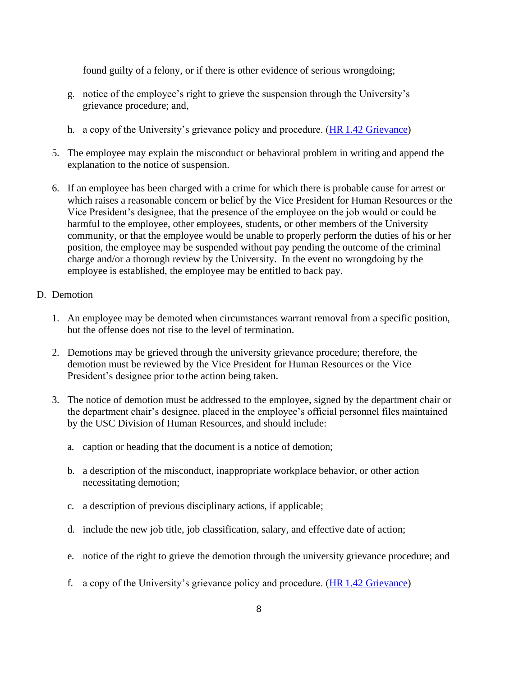found guilty of a felony, or if there is other evidence of serious wrongdoing;

- g. notice of the employee's right to grieve the suspension through the University's grievance procedure; and,
- h. a copy of the University's grievance policy and procedure. (HR [1.42 Grievance\)](http://www.sc.edu/policies/ppm/hr142.pdf)
- 5. The employee may explain the misconduct or behavioral problem in writing and append the explanation to the notice of suspension.
- 6. If an employee has been charged with a crime for which there is probable cause for arrest or which raises a reasonable concern or belief by the Vice President for Human Resources or the Vice President's designee, that the presence of the employee on the job would or could be harmful to the employee, other employees, students, or other members of the University community, or that the employee would be unable to properly perform the duties of his or her position, the employee may be suspended without pay pending the outcome of the criminal charge and/or a thorough review by the University. In the event no wrongdoing by the employee is established, the employee may be entitled to back pay.

#### D. Demotion

- 1. An employee may be demoted when circumstances warrant removal from a specific position, but the offense does not rise to the level of termination.
- 2. Demotions may be grieved through the university grievance procedure; therefore, the demotion must be reviewed by the Vice President for Human Resources or the Vice President's designee prior to the action being taken.
- 3. The notice of demotion must be addressed to the employee, signed by the department chair or the department chair's designee, placed in the employee's official personnel files maintained by the USC Division of Human Resources, and should include:
	- a. caption or heading that the document is a notice of demotion;
	- b. a description of the misconduct, inappropriate workplace behavior, or other action necessitating demotion;
	- c. a description of previous disciplinary actions, if applicable;
	- d. include the new job title, job classification, salary, and effective date of action;
	- e. notice of the right to grieve the demotion through the university grievance procedure; and
	- f. a copy of the University's grievance policy and procedure. (HR [1.42 Grievance\)](http://www.sc.edu/policies/ppm/hr142.pdf)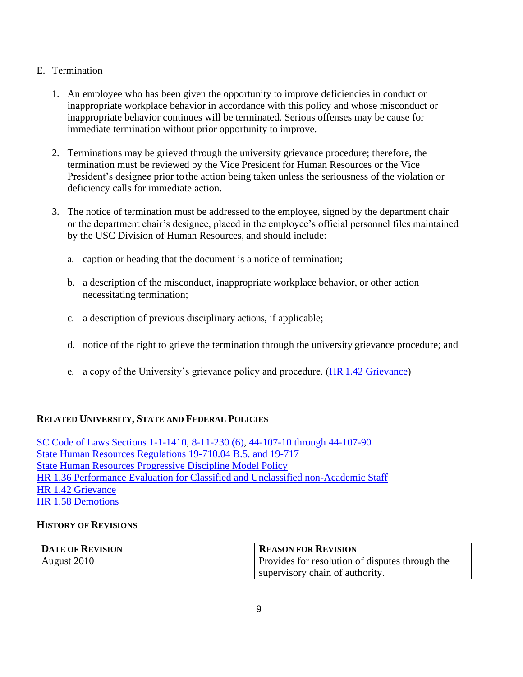## E. Termination

- 1. An employee who has been given the opportunity to improve deficiencies in conduct or inappropriate workplace behavior in accordance with this policy and whose misconduct or inappropriate behavior continues will be terminated. Serious offenses may be cause for immediate termination without prior opportunity to improve.
- 2. Terminations may be grieved through the university grievance procedure; therefore, the termination must be reviewed by the Vice President for Human Resources or the Vice President's designee prior to the action being taken unless the seriousness of the violation or deficiency calls for immediate action.
- 3. The notice of termination must be addressed to the employee, signed by the department chair or the department chair's designee, placed in the employee's official personnel files maintained by the USC Division of Human Resources, and should include:
	- a. caption or heading that the document is a notice of termination;
	- b. a description of the misconduct, inappropriate workplace behavior, or other action necessitating termination;
	- c. a description of previous disciplinary actions, if applicable;
	- d. notice of the right to grieve the termination through the university grievance procedure; and
	- e. a copy of the University's grievance policy and procedure. (HR [1.42 Grievance\)](http://www.sc.edu/policies/ppm/hr142.pdf)

# **RELATED UNIVERSITY, STATE AND FEDERAL POLICIES**

[SC Code of Laws Sections 1-1-1410,](https://www.scstatehouse.gov/code/t01c001.php) [8-11-230 \(6\),](https://www.scstatehouse.gov/code/t08c011.php) [44-107-10 through 44-107-90](https://www.scstatehouse.gov/code/t44c107.php) [State Human Resources Regulations 19-710.04 B.5. and 19-717](https://admin.sc.gov/sites/default/files/state_hr/State%20Human%20Resources%20Regulations.pdf) [State Human Resources Progressive Discipline Model Policy](https://www.admin.sc.gov/dshr/model_policies) [HR 1.36 Performance Evaluation for Classified and Unclassified non-Academic Staff](http://www.sc.edu/policies/ppm/hr136.pdf) [HR 1.42 Grievance](http://www.sc.edu/policies/ppm/hr142.pdf) [HR 1.58 Demotions](https://www.sc.edu/policies/ppm/hr158.pdf)

## **HISTORY OF REVISIONS**

| <b>DATE OF REVISION</b> | <b>REASON FOR REVISION</b>                      |  |  |
|-------------------------|-------------------------------------------------|--|--|
| August 2010             | Provides for resolution of disputes through the |  |  |
|                         | supervisory chain of authority.                 |  |  |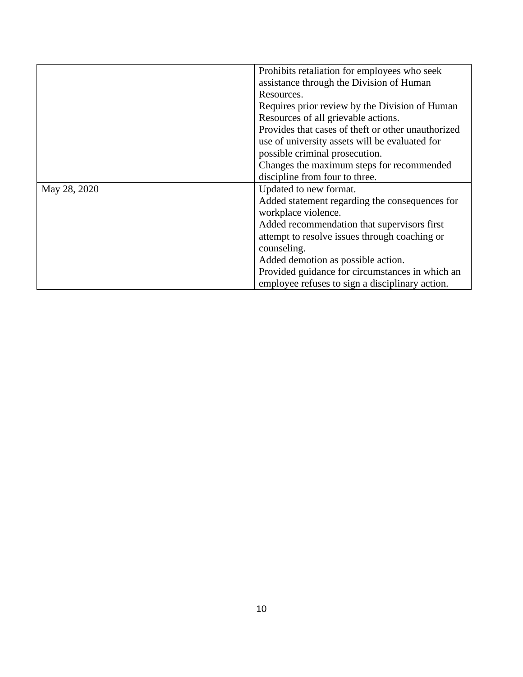|              | Prohibits retaliation for employees who seek       |  |  |
|--------------|----------------------------------------------------|--|--|
|              | assistance through the Division of Human           |  |  |
|              | Resources.                                         |  |  |
|              | Requires prior review by the Division of Human     |  |  |
|              | Resources of all grievable actions.                |  |  |
|              | Provides that cases of theft or other unauthorized |  |  |
|              | use of university assets will be evaluated for     |  |  |
|              | possible criminal prosecution.                     |  |  |
|              | Changes the maximum steps for recommended          |  |  |
|              | discipline from four to three.                     |  |  |
| May 28, 2020 | Updated to new format.                             |  |  |
|              | Added statement regarding the consequences for     |  |  |
|              | workplace violence.                                |  |  |
|              | Added recommendation that supervisors first        |  |  |
|              | attempt to resolve issues through coaching or      |  |  |
|              | counseling.                                        |  |  |
|              | Added demotion as possible action.                 |  |  |
|              | Provided guidance for circumstances in which an    |  |  |
|              | employee refuses to sign a disciplinary action.    |  |  |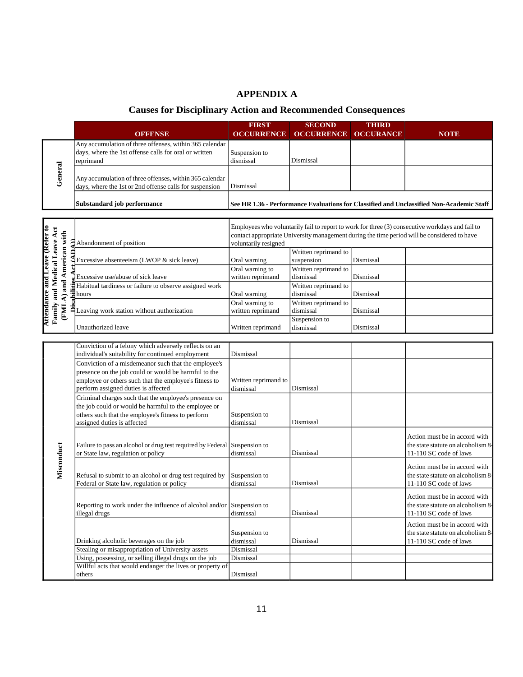# **APPENDIX A**

# **Causes for Disciplinary Action and Recommended Consequences**

| <b>OCCURANCE</b><br><b>OFFENSE</b><br><b>OCCURRENCE</b><br><b>OCCURRENCE</b><br><b>NOTE</b><br>Any accumulation of three offenses, within 365 calendar<br>days, where the 1st offense calls for oral or written<br>Suspension to<br>dismissal<br>reprimand<br>Dismissal<br>General<br>Any accumulation of three offenses, within 365 calendar<br>days, where the 1st or 2nd offense calls for suspension<br>Dismissal<br>Substandard job performance<br>See HR 1.36 - Performance Evaluations for Classified and Unclassified Non-Academic Staff<br>Employees who voluntarily fail to report to work for three (3) consecutive workdays and fail to<br>Attendance and Leave (Refer to<br>Family and Medical Leave Act<br>(FMLA) and American with<br>contact appropriate University management during the time period will be considered to have<br>Abandonment of position<br>voluntarily resigned<br>Written reprimand to<br>suspension<br>Dismissal<br>Excessive absenteeism (LWOP & sick leave)<br>Oral warning<br>Written reprimand to<br>Oral warning to<br>dismissal<br>written reprimand<br>Excessive use/abuse of sick leave<br>Dismissal<br>Habitual tardiness or failure to observe assigned work<br>Written reprimand to<br>dismissal<br>hours<br>Oral warning<br>Dismissal<br>Oral warning to<br>Written reprimand to<br>Leaving work station without authorization<br>written reprimand<br>dismissal<br>Dismissal<br>Suspension to<br>dismissal<br>Unauthorized leave<br>Written reprimand<br>Dismissal<br>Conviction of a felony which adversely reflects on an<br>individual's suitability for continued employment<br>Dismissal<br>Conviction of a misdemeanor such that the employee's<br>presence on the job could or would be harmful to the<br>employee or others such that the employee's fitness to<br>Written reprimand to<br>Dismissal<br>perform assigned duties is affected<br>dismissal<br>Criminal charges such that the employee's presence on<br>the job could or would be harmful to the employee or<br>others such that the employee's fitness to perform<br>Suspension to<br>assigned duties is affected<br>dismissal<br>Dismissal<br>Action must be in accord with<br>Misconduct<br>Failure to pass an alcohol or drug test required by Federal Suspension to<br>the state statute on alcoholism 8-<br>dismissal<br>or State law, regulation or policy<br>Dismissal<br>11-110 SC code of laws<br>Action must be in accord with<br>Refusal to submit to an alcohol or drug test required by<br>Suspension to<br>Federal or State law, regulation or policy<br>dismissal<br>11-110 SC code of laws<br>Dismissal<br>Action must be in accord with<br>Reporting to work under the influence of alcohol and/or Suspension to<br>the state statute on alcoholism 8-<br>dismissal<br>Dismissal<br>11-110 SC code of laws<br>illegal drugs<br>Action must be in accord with<br>the state statute on alcoholism 8-<br>Suspension to<br>Drinking alcoholic beverages on the job<br>Dismissal<br>11-110 SC code of laws<br>dismissal<br>Stealing or misappropriation of University assets<br>Dismissal<br>Using, possessing, or selling illegal drugs on the job<br>Dismissal<br>Willful acts that would endanger the lives or property of<br>Dismissal<br>others |  |  | <b>FIRST</b> | <b>SECOND</b> | <b>THIRD</b> |                                    |
|-------------------------------------------------------------------------------------------------------------------------------------------------------------------------------------------------------------------------------------------------------------------------------------------------------------------------------------------------------------------------------------------------------------------------------------------------------------------------------------------------------------------------------------------------------------------------------------------------------------------------------------------------------------------------------------------------------------------------------------------------------------------------------------------------------------------------------------------------------------------------------------------------------------------------------------------------------------------------------------------------------------------------------------------------------------------------------------------------------------------------------------------------------------------------------------------------------------------------------------------------------------------------------------------------------------------------------------------------------------------------------------------------------------------------------------------------------------------------------------------------------------------------------------------------------------------------------------------------------------------------------------------------------------------------------------------------------------------------------------------------------------------------------------------------------------------------------------------------------------------------------------------------------------------------------------------------------------------------------------------------------------------------------------------------------------------------------------------------------------------------------------------------------------------------------------------------------------------------------------------------------------------------------------------------------------------------------------------------------------------------------------------------------------------------------------------------------------------------------------------------------------------------------------------------------------------------------------------------------------------------------------------------------------------------------------------------------------------------------------------------------------------------------------------------------------------------------------------------------------------------------------------------------------------------------------------------------------------------------------------------------------------------------------------------------------------------------------------------------------------------------------------------------------------------------------------------------------------------------------------------------------------------------------------|--|--|--------------|---------------|--------------|------------------------------------|
|                                                                                                                                                                                                                                                                                                                                                                                                                                                                                                                                                                                                                                                                                                                                                                                                                                                                                                                                                                                                                                                                                                                                                                                                                                                                                                                                                                                                                                                                                                                                                                                                                                                                                                                                                                                                                                                                                                                                                                                                                                                                                                                                                                                                                                                                                                                                                                                                                                                                                                                                                                                                                                                                                                                                                                                                                                                                                                                                                                                                                                                                                                                                                                                                                                                                                           |  |  |              |               |              |                                    |
|                                                                                                                                                                                                                                                                                                                                                                                                                                                                                                                                                                                                                                                                                                                                                                                                                                                                                                                                                                                                                                                                                                                                                                                                                                                                                                                                                                                                                                                                                                                                                                                                                                                                                                                                                                                                                                                                                                                                                                                                                                                                                                                                                                                                                                                                                                                                                                                                                                                                                                                                                                                                                                                                                                                                                                                                                                                                                                                                                                                                                                                                                                                                                                                                                                                                                           |  |  |              |               |              |                                    |
|                                                                                                                                                                                                                                                                                                                                                                                                                                                                                                                                                                                                                                                                                                                                                                                                                                                                                                                                                                                                                                                                                                                                                                                                                                                                                                                                                                                                                                                                                                                                                                                                                                                                                                                                                                                                                                                                                                                                                                                                                                                                                                                                                                                                                                                                                                                                                                                                                                                                                                                                                                                                                                                                                                                                                                                                                                                                                                                                                                                                                                                                                                                                                                                                                                                                                           |  |  |              |               |              |                                    |
|                                                                                                                                                                                                                                                                                                                                                                                                                                                                                                                                                                                                                                                                                                                                                                                                                                                                                                                                                                                                                                                                                                                                                                                                                                                                                                                                                                                                                                                                                                                                                                                                                                                                                                                                                                                                                                                                                                                                                                                                                                                                                                                                                                                                                                                                                                                                                                                                                                                                                                                                                                                                                                                                                                                                                                                                                                                                                                                                                                                                                                                                                                                                                                                                                                                                                           |  |  |              |               |              |                                    |
|                                                                                                                                                                                                                                                                                                                                                                                                                                                                                                                                                                                                                                                                                                                                                                                                                                                                                                                                                                                                                                                                                                                                                                                                                                                                                                                                                                                                                                                                                                                                                                                                                                                                                                                                                                                                                                                                                                                                                                                                                                                                                                                                                                                                                                                                                                                                                                                                                                                                                                                                                                                                                                                                                                                                                                                                                                                                                                                                                                                                                                                                                                                                                                                                                                                                                           |  |  |              |               |              |                                    |
|                                                                                                                                                                                                                                                                                                                                                                                                                                                                                                                                                                                                                                                                                                                                                                                                                                                                                                                                                                                                                                                                                                                                                                                                                                                                                                                                                                                                                                                                                                                                                                                                                                                                                                                                                                                                                                                                                                                                                                                                                                                                                                                                                                                                                                                                                                                                                                                                                                                                                                                                                                                                                                                                                                                                                                                                                                                                                                                                                                                                                                                                                                                                                                                                                                                                                           |  |  |              |               |              |                                    |
|                                                                                                                                                                                                                                                                                                                                                                                                                                                                                                                                                                                                                                                                                                                                                                                                                                                                                                                                                                                                                                                                                                                                                                                                                                                                                                                                                                                                                                                                                                                                                                                                                                                                                                                                                                                                                                                                                                                                                                                                                                                                                                                                                                                                                                                                                                                                                                                                                                                                                                                                                                                                                                                                                                                                                                                                                                                                                                                                                                                                                                                                                                                                                                                                                                                                                           |  |  |              |               |              |                                    |
|                                                                                                                                                                                                                                                                                                                                                                                                                                                                                                                                                                                                                                                                                                                                                                                                                                                                                                                                                                                                                                                                                                                                                                                                                                                                                                                                                                                                                                                                                                                                                                                                                                                                                                                                                                                                                                                                                                                                                                                                                                                                                                                                                                                                                                                                                                                                                                                                                                                                                                                                                                                                                                                                                                                                                                                                                                                                                                                                                                                                                                                                                                                                                                                                                                                                                           |  |  |              |               |              |                                    |
|                                                                                                                                                                                                                                                                                                                                                                                                                                                                                                                                                                                                                                                                                                                                                                                                                                                                                                                                                                                                                                                                                                                                                                                                                                                                                                                                                                                                                                                                                                                                                                                                                                                                                                                                                                                                                                                                                                                                                                                                                                                                                                                                                                                                                                                                                                                                                                                                                                                                                                                                                                                                                                                                                                                                                                                                                                                                                                                                                                                                                                                                                                                                                                                                                                                                                           |  |  |              |               |              |                                    |
|                                                                                                                                                                                                                                                                                                                                                                                                                                                                                                                                                                                                                                                                                                                                                                                                                                                                                                                                                                                                                                                                                                                                                                                                                                                                                                                                                                                                                                                                                                                                                                                                                                                                                                                                                                                                                                                                                                                                                                                                                                                                                                                                                                                                                                                                                                                                                                                                                                                                                                                                                                                                                                                                                                                                                                                                                                                                                                                                                                                                                                                                                                                                                                                                                                                                                           |  |  |              |               |              |                                    |
|                                                                                                                                                                                                                                                                                                                                                                                                                                                                                                                                                                                                                                                                                                                                                                                                                                                                                                                                                                                                                                                                                                                                                                                                                                                                                                                                                                                                                                                                                                                                                                                                                                                                                                                                                                                                                                                                                                                                                                                                                                                                                                                                                                                                                                                                                                                                                                                                                                                                                                                                                                                                                                                                                                                                                                                                                                                                                                                                                                                                                                                                                                                                                                                                                                                                                           |  |  |              |               |              |                                    |
|                                                                                                                                                                                                                                                                                                                                                                                                                                                                                                                                                                                                                                                                                                                                                                                                                                                                                                                                                                                                                                                                                                                                                                                                                                                                                                                                                                                                                                                                                                                                                                                                                                                                                                                                                                                                                                                                                                                                                                                                                                                                                                                                                                                                                                                                                                                                                                                                                                                                                                                                                                                                                                                                                                                                                                                                                                                                                                                                                                                                                                                                                                                                                                                                                                                                                           |  |  |              |               |              |                                    |
|                                                                                                                                                                                                                                                                                                                                                                                                                                                                                                                                                                                                                                                                                                                                                                                                                                                                                                                                                                                                                                                                                                                                                                                                                                                                                                                                                                                                                                                                                                                                                                                                                                                                                                                                                                                                                                                                                                                                                                                                                                                                                                                                                                                                                                                                                                                                                                                                                                                                                                                                                                                                                                                                                                                                                                                                                                                                                                                                                                                                                                                                                                                                                                                                                                                                                           |  |  |              |               |              |                                    |
|                                                                                                                                                                                                                                                                                                                                                                                                                                                                                                                                                                                                                                                                                                                                                                                                                                                                                                                                                                                                                                                                                                                                                                                                                                                                                                                                                                                                                                                                                                                                                                                                                                                                                                                                                                                                                                                                                                                                                                                                                                                                                                                                                                                                                                                                                                                                                                                                                                                                                                                                                                                                                                                                                                                                                                                                                                                                                                                                                                                                                                                                                                                                                                                                                                                                                           |  |  |              |               |              |                                    |
|                                                                                                                                                                                                                                                                                                                                                                                                                                                                                                                                                                                                                                                                                                                                                                                                                                                                                                                                                                                                                                                                                                                                                                                                                                                                                                                                                                                                                                                                                                                                                                                                                                                                                                                                                                                                                                                                                                                                                                                                                                                                                                                                                                                                                                                                                                                                                                                                                                                                                                                                                                                                                                                                                                                                                                                                                                                                                                                                                                                                                                                                                                                                                                                                                                                                                           |  |  |              |               |              |                                    |
|                                                                                                                                                                                                                                                                                                                                                                                                                                                                                                                                                                                                                                                                                                                                                                                                                                                                                                                                                                                                                                                                                                                                                                                                                                                                                                                                                                                                                                                                                                                                                                                                                                                                                                                                                                                                                                                                                                                                                                                                                                                                                                                                                                                                                                                                                                                                                                                                                                                                                                                                                                                                                                                                                                                                                                                                                                                                                                                                                                                                                                                                                                                                                                                                                                                                                           |  |  |              |               |              |                                    |
|                                                                                                                                                                                                                                                                                                                                                                                                                                                                                                                                                                                                                                                                                                                                                                                                                                                                                                                                                                                                                                                                                                                                                                                                                                                                                                                                                                                                                                                                                                                                                                                                                                                                                                                                                                                                                                                                                                                                                                                                                                                                                                                                                                                                                                                                                                                                                                                                                                                                                                                                                                                                                                                                                                                                                                                                                                                                                                                                                                                                                                                                                                                                                                                                                                                                                           |  |  |              |               |              |                                    |
|                                                                                                                                                                                                                                                                                                                                                                                                                                                                                                                                                                                                                                                                                                                                                                                                                                                                                                                                                                                                                                                                                                                                                                                                                                                                                                                                                                                                                                                                                                                                                                                                                                                                                                                                                                                                                                                                                                                                                                                                                                                                                                                                                                                                                                                                                                                                                                                                                                                                                                                                                                                                                                                                                                                                                                                                                                                                                                                                                                                                                                                                                                                                                                                                                                                                                           |  |  |              |               |              |                                    |
|                                                                                                                                                                                                                                                                                                                                                                                                                                                                                                                                                                                                                                                                                                                                                                                                                                                                                                                                                                                                                                                                                                                                                                                                                                                                                                                                                                                                                                                                                                                                                                                                                                                                                                                                                                                                                                                                                                                                                                                                                                                                                                                                                                                                                                                                                                                                                                                                                                                                                                                                                                                                                                                                                                                                                                                                                                                                                                                                                                                                                                                                                                                                                                                                                                                                                           |  |  |              |               |              |                                    |
|                                                                                                                                                                                                                                                                                                                                                                                                                                                                                                                                                                                                                                                                                                                                                                                                                                                                                                                                                                                                                                                                                                                                                                                                                                                                                                                                                                                                                                                                                                                                                                                                                                                                                                                                                                                                                                                                                                                                                                                                                                                                                                                                                                                                                                                                                                                                                                                                                                                                                                                                                                                                                                                                                                                                                                                                                                                                                                                                                                                                                                                                                                                                                                                                                                                                                           |  |  |              |               |              |                                    |
|                                                                                                                                                                                                                                                                                                                                                                                                                                                                                                                                                                                                                                                                                                                                                                                                                                                                                                                                                                                                                                                                                                                                                                                                                                                                                                                                                                                                                                                                                                                                                                                                                                                                                                                                                                                                                                                                                                                                                                                                                                                                                                                                                                                                                                                                                                                                                                                                                                                                                                                                                                                                                                                                                                                                                                                                                                                                                                                                                                                                                                                                                                                                                                                                                                                                                           |  |  |              |               |              |                                    |
|                                                                                                                                                                                                                                                                                                                                                                                                                                                                                                                                                                                                                                                                                                                                                                                                                                                                                                                                                                                                                                                                                                                                                                                                                                                                                                                                                                                                                                                                                                                                                                                                                                                                                                                                                                                                                                                                                                                                                                                                                                                                                                                                                                                                                                                                                                                                                                                                                                                                                                                                                                                                                                                                                                                                                                                                                                                                                                                                                                                                                                                                                                                                                                                                                                                                                           |  |  |              |               |              |                                    |
|                                                                                                                                                                                                                                                                                                                                                                                                                                                                                                                                                                                                                                                                                                                                                                                                                                                                                                                                                                                                                                                                                                                                                                                                                                                                                                                                                                                                                                                                                                                                                                                                                                                                                                                                                                                                                                                                                                                                                                                                                                                                                                                                                                                                                                                                                                                                                                                                                                                                                                                                                                                                                                                                                                                                                                                                                                                                                                                                                                                                                                                                                                                                                                                                                                                                                           |  |  |              |               |              |                                    |
|                                                                                                                                                                                                                                                                                                                                                                                                                                                                                                                                                                                                                                                                                                                                                                                                                                                                                                                                                                                                                                                                                                                                                                                                                                                                                                                                                                                                                                                                                                                                                                                                                                                                                                                                                                                                                                                                                                                                                                                                                                                                                                                                                                                                                                                                                                                                                                                                                                                                                                                                                                                                                                                                                                                                                                                                                                                                                                                                                                                                                                                                                                                                                                                                                                                                                           |  |  |              |               |              |                                    |
|                                                                                                                                                                                                                                                                                                                                                                                                                                                                                                                                                                                                                                                                                                                                                                                                                                                                                                                                                                                                                                                                                                                                                                                                                                                                                                                                                                                                                                                                                                                                                                                                                                                                                                                                                                                                                                                                                                                                                                                                                                                                                                                                                                                                                                                                                                                                                                                                                                                                                                                                                                                                                                                                                                                                                                                                                                                                                                                                                                                                                                                                                                                                                                                                                                                                                           |  |  |              |               |              |                                    |
|                                                                                                                                                                                                                                                                                                                                                                                                                                                                                                                                                                                                                                                                                                                                                                                                                                                                                                                                                                                                                                                                                                                                                                                                                                                                                                                                                                                                                                                                                                                                                                                                                                                                                                                                                                                                                                                                                                                                                                                                                                                                                                                                                                                                                                                                                                                                                                                                                                                                                                                                                                                                                                                                                                                                                                                                                                                                                                                                                                                                                                                                                                                                                                                                                                                                                           |  |  |              |               |              |                                    |
|                                                                                                                                                                                                                                                                                                                                                                                                                                                                                                                                                                                                                                                                                                                                                                                                                                                                                                                                                                                                                                                                                                                                                                                                                                                                                                                                                                                                                                                                                                                                                                                                                                                                                                                                                                                                                                                                                                                                                                                                                                                                                                                                                                                                                                                                                                                                                                                                                                                                                                                                                                                                                                                                                                                                                                                                                                                                                                                                                                                                                                                                                                                                                                                                                                                                                           |  |  |              |               |              |                                    |
|                                                                                                                                                                                                                                                                                                                                                                                                                                                                                                                                                                                                                                                                                                                                                                                                                                                                                                                                                                                                                                                                                                                                                                                                                                                                                                                                                                                                                                                                                                                                                                                                                                                                                                                                                                                                                                                                                                                                                                                                                                                                                                                                                                                                                                                                                                                                                                                                                                                                                                                                                                                                                                                                                                                                                                                                                                                                                                                                                                                                                                                                                                                                                                                                                                                                                           |  |  |              |               |              |                                    |
|                                                                                                                                                                                                                                                                                                                                                                                                                                                                                                                                                                                                                                                                                                                                                                                                                                                                                                                                                                                                                                                                                                                                                                                                                                                                                                                                                                                                                                                                                                                                                                                                                                                                                                                                                                                                                                                                                                                                                                                                                                                                                                                                                                                                                                                                                                                                                                                                                                                                                                                                                                                                                                                                                                                                                                                                                                                                                                                                                                                                                                                                                                                                                                                                                                                                                           |  |  |              |               |              |                                    |
|                                                                                                                                                                                                                                                                                                                                                                                                                                                                                                                                                                                                                                                                                                                                                                                                                                                                                                                                                                                                                                                                                                                                                                                                                                                                                                                                                                                                                                                                                                                                                                                                                                                                                                                                                                                                                                                                                                                                                                                                                                                                                                                                                                                                                                                                                                                                                                                                                                                                                                                                                                                                                                                                                                                                                                                                                                                                                                                                                                                                                                                                                                                                                                                                                                                                                           |  |  |              |               |              |                                    |
|                                                                                                                                                                                                                                                                                                                                                                                                                                                                                                                                                                                                                                                                                                                                                                                                                                                                                                                                                                                                                                                                                                                                                                                                                                                                                                                                                                                                                                                                                                                                                                                                                                                                                                                                                                                                                                                                                                                                                                                                                                                                                                                                                                                                                                                                                                                                                                                                                                                                                                                                                                                                                                                                                                                                                                                                                                                                                                                                                                                                                                                                                                                                                                                                                                                                                           |  |  |              |               |              |                                    |
|                                                                                                                                                                                                                                                                                                                                                                                                                                                                                                                                                                                                                                                                                                                                                                                                                                                                                                                                                                                                                                                                                                                                                                                                                                                                                                                                                                                                                                                                                                                                                                                                                                                                                                                                                                                                                                                                                                                                                                                                                                                                                                                                                                                                                                                                                                                                                                                                                                                                                                                                                                                                                                                                                                                                                                                                                                                                                                                                                                                                                                                                                                                                                                                                                                                                                           |  |  |              |               |              |                                    |
|                                                                                                                                                                                                                                                                                                                                                                                                                                                                                                                                                                                                                                                                                                                                                                                                                                                                                                                                                                                                                                                                                                                                                                                                                                                                                                                                                                                                                                                                                                                                                                                                                                                                                                                                                                                                                                                                                                                                                                                                                                                                                                                                                                                                                                                                                                                                                                                                                                                                                                                                                                                                                                                                                                                                                                                                                                                                                                                                                                                                                                                                                                                                                                                                                                                                                           |  |  |              |               |              |                                    |
|                                                                                                                                                                                                                                                                                                                                                                                                                                                                                                                                                                                                                                                                                                                                                                                                                                                                                                                                                                                                                                                                                                                                                                                                                                                                                                                                                                                                                                                                                                                                                                                                                                                                                                                                                                                                                                                                                                                                                                                                                                                                                                                                                                                                                                                                                                                                                                                                                                                                                                                                                                                                                                                                                                                                                                                                                                                                                                                                                                                                                                                                                                                                                                                                                                                                                           |  |  |              |               |              |                                    |
|                                                                                                                                                                                                                                                                                                                                                                                                                                                                                                                                                                                                                                                                                                                                                                                                                                                                                                                                                                                                                                                                                                                                                                                                                                                                                                                                                                                                                                                                                                                                                                                                                                                                                                                                                                                                                                                                                                                                                                                                                                                                                                                                                                                                                                                                                                                                                                                                                                                                                                                                                                                                                                                                                                                                                                                                                                                                                                                                                                                                                                                                                                                                                                                                                                                                                           |  |  |              |               |              |                                    |
|                                                                                                                                                                                                                                                                                                                                                                                                                                                                                                                                                                                                                                                                                                                                                                                                                                                                                                                                                                                                                                                                                                                                                                                                                                                                                                                                                                                                                                                                                                                                                                                                                                                                                                                                                                                                                                                                                                                                                                                                                                                                                                                                                                                                                                                                                                                                                                                                                                                                                                                                                                                                                                                                                                                                                                                                                                                                                                                                                                                                                                                                                                                                                                                                                                                                                           |  |  |              |               |              |                                    |
|                                                                                                                                                                                                                                                                                                                                                                                                                                                                                                                                                                                                                                                                                                                                                                                                                                                                                                                                                                                                                                                                                                                                                                                                                                                                                                                                                                                                                                                                                                                                                                                                                                                                                                                                                                                                                                                                                                                                                                                                                                                                                                                                                                                                                                                                                                                                                                                                                                                                                                                                                                                                                                                                                                                                                                                                                                                                                                                                                                                                                                                                                                                                                                                                                                                                                           |  |  |              |               |              |                                    |
|                                                                                                                                                                                                                                                                                                                                                                                                                                                                                                                                                                                                                                                                                                                                                                                                                                                                                                                                                                                                                                                                                                                                                                                                                                                                                                                                                                                                                                                                                                                                                                                                                                                                                                                                                                                                                                                                                                                                                                                                                                                                                                                                                                                                                                                                                                                                                                                                                                                                                                                                                                                                                                                                                                                                                                                                                                                                                                                                                                                                                                                                                                                                                                                                                                                                                           |  |  |              |               |              |                                    |
|                                                                                                                                                                                                                                                                                                                                                                                                                                                                                                                                                                                                                                                                                                                                                                                                                                                                                                                                                                                                                                                                                                                                                                                                                                                                                                                                                                                                                                                                                                                                                                                                                                                                                                                                                                                                                                                                                                                                                                                                                                                                                                                                                                                                                                                                                                                                                                                                                                                                                                                                                                                                                                                                                                                                                                                                                                                                                                                                                                                                                                                                                                                                                                                                                                                                                           |  |  |              |               |              | the state statute on alcoholism 8- |
|                                                                                                                                                                                                                                                                                                                                                                                                                                                                                                                                                                                                                                                                                                                                                                                                                                                                                                                                                                                                                                                                                                                                                                                                                                                                                                                                                                                                                                                                                                                                                                                                                                                                                                                                                                                                                                                                                                                                                                                                                                                                                                                                                                                                                                                                                                                                                                                                                                                                                                                                                                                                                                                                                                                                                                                                                                                                                                                                                                                                                                                                                                                                                                                                                                                                                           |  |  |              |               |              |                                    |
|                                                                                                                                                                                                                                                                                                                                                                                                                                                                                                                                                                                                                                                                                                                                                                                                                                                                                                                                                                                                                                                                                                                                                                                                                                                                                                                                                                                                                                                                                                                                                                                                                                                                                                                                                                                                                                                                                                                                                                                                                                                                                                                                                                                                                                                                                                                                                                                                                                                                                                                                                                                                                                                                                                                                                                                                                                                                                                                                                                                                                                                                                                                                                                                                                                                                                           |  |  |              |               |              |                                    |
|                                                                                                                                                                                                                                                                                                                                                                                                                                                                                                                                                                                                                                                                                                                                                                                                                                                                                                                                                                                                                                                                                                                                                                                                                                                                                                                                                                                                                                                                                                                                                                                                                                                                                                                                                                                                                                                                                                                                                                                                                                                                                                                                                                                                                                                                                                                                                                                                                                                                                                                                                                                                                                                                                                                                                                                                                                                                                                                                                                                                                                                                                                                                                                                                                                                                                           |  |  |              |               |              |                                    |
|                                                                                                                                                                                                                                                                                                                                                                                                                                                                                                                                                                                                                                                                                                                                                                                                                                                                                                                                                                                                                                                                                                                                                                                                                                                                                                                                                                                                                                                                                                                                                                                                                                                                                                                                                                                                                                                                                                                                                                                                                                                                                                                                                                                                                                                                                                                                                                                                                                                                                                                                                                                                                                                                                                                                                                                                                                                                                                                                                                                                                                                                                                                                                                                                                                                                                           |  |  |              |               |              |                                    |
|                                                                                                                                                                                                                                                                                                                                                                                                                                                                                                                                                                                                                                                                                                                                                                                                                                                                                                                                                                                                                                                                                                                                                                                                                                                                                                                                                                                                                                                                                                                                                                                                                                                                                                                                                                                                                                                                                                                                                                                                                                                                                                                                                                                                                                                                                                                                                                                                                                                                                                                                                                                                                                                                                                                                                                                                                                                                                                                                                                                                                                                                                                                                                                                                                                                                                           |  |  |              |               |              |                                    |
|                                                                                                                                                                                                                                                                                                                                                                                                                                                                                                                                                                                                                                                                                                                                                                                                                                                                                                                                                                                                                                                                                                                                                                                                                                                                                                                                                                                                                                                                                                                                                                                                                                                                                                                                                                                                                                                                                                                                                                                                                                                                                                                                                                                                                                                                                                                                                                                                                                                                                                                                                                                                                                                                                                                                                                                                                                                                                                                                                                                                                                                                                                                                                                                                                                                                                           |  |  |              |               |              |                                    |
|                                                                                                                                                                                                                                                                                                                                                                                                                                                                                                                                                                                                                                                                                                                                                                                                                                                                                                                                                                                                                                                                                                                                                                                                                                                                                                                                                                                                                                                                                                                                                                                                                                                                                                                                                                                                                                                                                                                                                                                                                                                                                                                                                                                                                                                                                                                                                                                                                                                                                                                                                                                                                                                                                                                                                                                                                                                                                                                                                                                                                                                                                                                                                                                                                                                                                           |  |  |              |               |              |                                    |
|                                                                                                                                                                                                                                                                                                                                                                                                                                                                                                                                                                                                                                                                                                                                                                                                                                                                                                                                                                                                                                                                                                                                                                                                                                                                                                                                                                                                                                                                                                                                                                                                                                                                                                                                                                                                                                                                                                                                                                                                                                                                                                                                                                                                                                                                                                                                                                                                                                                                                                                                                                                                                                                                                                                                                                                                                                                                                                                                                                                                                                                                                                                                                                                                                                                                                           |  |  |              |               |              |                                    |
|                                                                                                                                                                                                                                                                                                                                                                                                                                                                                                                                                                                                                                                                                                                                                                                                                                                                                                                                                                                                                                                                                                                                                                                                                                                                                                                                                                                                                                                                                                                                                                                                                                                                                                                                                                                                                                                                                                                                                                                                                                                                                                                                                                                                                                                                                                                                                                                                                                                                                                                                                                                                                                                                                                                                                                                                                                                                                                                                                                                                                                                                                                                                                                                                                                                                                           |  |  |              |               |              |                                    |
|                                                                                                                                                                                                                                                                                                                                                                                                                                                                                                                                                                                                                                                                                                                                                                                                                                                                                                                                                                                                                                                                                                                                                                                                                                                                                                                                                                                                                                                                                                                                                                                                                                                                                                                                                                                                                                                                                                                                                                                                                                                                                                                                                                                                                                                                                                                                                                                                                                                                                                                                                                                                                                                                                                                                                                                                                                                                                                                                                                                                                                                                                                                                                                                                                                                                                           |  |  |              |               |              |                                    |
|                                                                                                                                                                                                                                                                                                                                                                                                                                                                                                                                                                                                                                                                                                                                                                                                                                                                                                                                                                                                                                                                                                                                                                                                                                                                                                                                                                                                                                                                                                                                                                                                                                                                                                                                                                                                                                                                                                                                                                                                                                                                                                                                                                                                                                                                                                                                                                                                                                                                                                                                                                                                                                                                                                                                                                                                                                                                                                                                                                                                                                                                                                                                                                                                                                                                                           |  |  |              |               |              |                                    |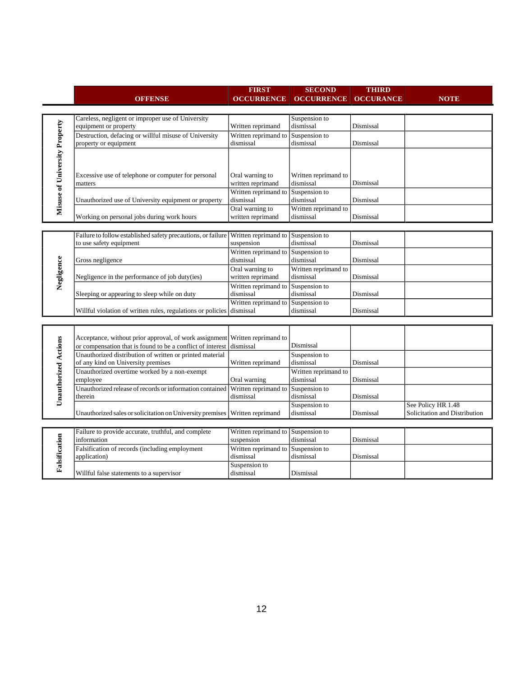|                               |                                                              | <b>FIRST</b>                      | <b>SECOND</b>              | <b>THIRD</b>     |                               |
|-------------------------------|--------------------------------------------------------------|-----------------------------------|----------------------------|------------------|-------------------------------|
|                               | <b>OFFENSE</b>                                               | <b>OCCURRENCE</b>                 | <b>OCCURRENCE</b>          | <b>OCCURANCE</b> | <b>NOTE</b>                   |
|                               |                                                              |                                   |                            |                  |                               |
|                               | Careless, negligent or improper use of University            |                                   | Suspension to              |                  |                               |
|                               | equipment or property                                        | Written reprimand                 | dismissal                  | Dismissal        |                               |
|                               | Destruction, defacing or willful misuse of University        | Written reprimand to              | Suspension to              |                  |                               |
|                               | property or equipment                                        | dismissal                         | dismissal                  | Dismissal        |                               |
|                               |                                                              |                                   |                            |                  |                               |
|                               |                                                              |                                   |                            |                  |                               |
|                               | Excessive use of telephone or computer for personal          | Oral warning to                   | Written reprimand to       |                  |                               |
|                               | matters                                                      | written reprimand                 | dismissal                  | Dismissal        |                               |
|                               |                                                              | Written reprimand to              | Suspension to              |                  |                               |
|                               | Unauthorized use of University equipment or property         | dismissal                         | dismissal                  | Dismissal        |                               |
| Misuse of University Property |                                                              | Oral warning to                   | Written reprimand to       |                  |                               |
|                               | Working on personal jobs during work hours                   | written reprimand                 | dismissal                  | Dismissal        |                               |
|                               |                                                              |                                   |                            |                  |                               |
|                               | Failure to follow established safety precautions, or failure | Written reprimand to              | Suspension to              |                  |                               |
|                               | to use safety equipment                                      | suspension                        | dismissal                  | Dismissal        |                               |
|                               |                                                              | Written reprimand to              | Suspension to              |                  |                               |
|                               | Gross negligence                                             | dismissal                         | dismissal                  | Dismissal        |                               |
| Negligence                    |                                                              | Oral warning to                   | Written reprimand to       |                  |                               |
|                               | Negligence in the performance of job duty(ies)               | written reprimand                 | dismissal                  | Dismissal        |                               |
|                               | Sleeping or appearing to sleep while on duty                 | Written reprimand to<br>dismissal | Suspension to<br>dismissal | Dismissal        |                               |
|                               |                                                              | Written reprimand to              | Suspension to              |                  |                               |
|                               | Willful violation of written rules, regulations or policies  | dismissal                         | dismissal                  | Dismissal        |                               |
|                               |                                                              |                                   |                            |                  |                               |
|                               |                                                              |                                   |                            |                  |                               |
|                               | Acceptance, without prior approval, of work assignment       | Written reprimand to              |                            |                  |                               |
|                               | or compensation that is found to be a conflict of interest   | dismissal                         | Dismissal                  |                  |                               |
| <b>Unauthorized Actions</b>   | Unauthorized distribution of written or printed material     |                                   | Suspension to              |                  |                               |
|                               | of any kind on University premises                           | Written reprimand                 | dismissal                  | Dismissal        |                               |
|                               | Unauthorized overtime worked by a non-exempt                 |                                   | Written reprimand to       |                  |                               |
|                               | employee                                                     | Oral warning                      | dismissal                  | Dismissal        |                               |
|                               | Unauthorized release of records or information contained     | Written reprimand to              | Suspension to              |                  |                               |
|                               | therein                                                      | dismissal                         | dismissal                  | Dismissal        |                               |
|                               |                                                              |                                   | Suspension to<br>dismissal | Dismissal        | See Policy HR 1.48            |
|                               | Unauthorized sales or solicitation on University premises    | Written reprimand                 |                            |                  | Solicitation and Distribution |
|                               | Failure to provide accurate, truthful, and complete          | Written reprimand to              | Suspension to              |                  |                               |
|                               | information                                                  | suspension                        | dismissal                  | Dismissal        |                               |
|                               | Falsification of records (including employment               | Written reprimand to              | Suspension to              |                  |                               |
|                               | application)                                                 | dismissal                         | dismissal                  | Dismissal        |                               |
| Falsification                 |                                                              | Suspension to                     |                            |                  |                               |
|                               | Willful false statements to a supervisor                     | dismissal                         | Dismissal                  |                  |                               |
|                               |                                                              |                                   |                            |                  |                               |